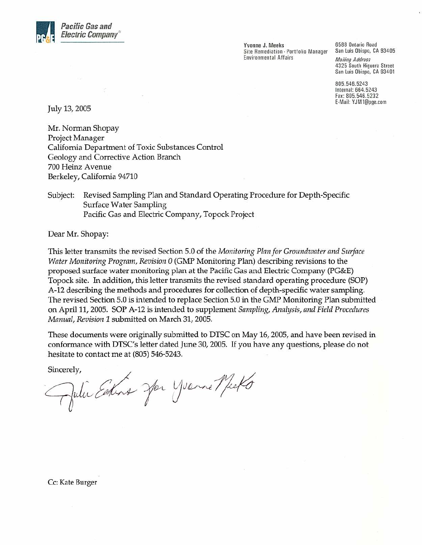

Yvonne J. Meeks Site Remediation - Portfolio Manager Environmental Affairs

6588 Ontario Road San Luis Obispo, CA 93405

**Mailing Address** 4325 South Higuera Street San Luis Obispo, CA 93401

805.546.5243 Internal: 664.5243 Fax: 805.546.5232 E-Mail: YJM1@pge.com

July 13, 2005

Mr. Norman Shopay Project Manager California Department of Toxic Substances Control Geology and Corrective Action Branch 700 Heinz Avenue Berkeley, California 94710

Revised Sampling Plan and Standard Operating Procedure for Depth-Specific Subject: Surface Water Sampling Pacific Gas and Electric Company, Topock Project

Dear Mr. Shopay:

This letter transmits the revised Section 5.0 of the Monitoring Plan for Groundwater and Surface Water Monitoring Program, Revision 0 (GMP Monitoring Plan) describing revisions to the proposed surface water monitoring plan at the Pacific Gas and Electric Company (PG&E) Topock site. In addition, this letter transmits the revised standard operating procedure (SOP) A-12 describing the methods and procedures for collection of depth-specific water sampling. The revised Section 5.0 is intended to replace Section 5.0 in the GMP Monitoring Plan submitted on April 11, 2005. SOP A-12 is intended to supplement Sampling, Analysis, and Field Procedures Manual, Revision 1 submitted on March 31, 2005.

These documents were originally submitted to DTSC on May 16, 2005, and have been revised in conformance with DTSC's letter dated June 30, 2005. If you have any questions, please do not hesitate to contact me at (805) 546-5243.

Sincerely,

Julie Estina Jar Yverne Micko

Cc: Kate Burger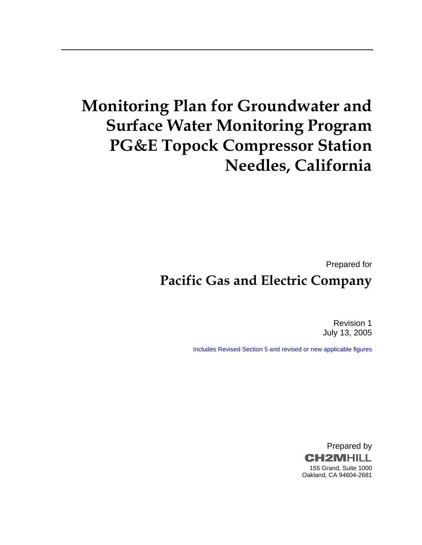# **Monitoring Plan for Groundwater and Surface Water Monitoring Program PG&E Topock Compressor Station Needles, California**

Prepared for

# **Pacific Gas and Electric Company**

Revision 1 July 13, 2005

Includes Revised Section 5 and revised or new applicable figures

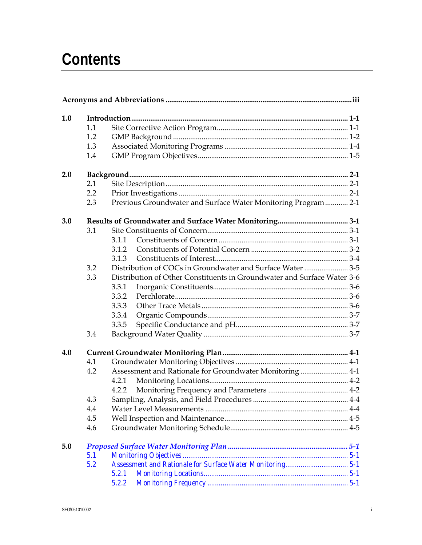| 1.0 |     |                                                                         |  |
|-----|-----|-------------------------------------------------------------------------|--|
|     | 1.1 |                                                                         |  |
|     | 1.2 |                                                                         |  |
|     | 1.3 |                                                                         |  |
|     | 1.4 |                                                                         |  |
| 2.0 |     |                                                                         |  |
|     | 2.1 |                                                                         |  |
|     | 2.2 |                                                                         |  |
|     | 2.3 | Previous Groundwater and Surface Water Monitoring Program 2-1           |  |
| 3.0 |     |                                                                         |  |
|     | 3.1 |                                                                         |  |
|     |     | 3.1.1                                                                   |  |
|     |     | 3.1.2                                                                   |  |
|     |     | 3.1.3                                                                   |  |
|     | 3.2 | Distribution of COCs in Groundwater and Surface Water3-5                |  |
|     | 3.3 | Distribution of Other Constituents in Groundwater and Surface Water 3-6 |  |
|     |     | 3.3.1                                                                   |  |
|     |     | 3.3.2                                                                   |  |
|     |     | 3.3.3                                                                   |  |
|     |     | 3.3.4                                                                   |  |
|     |     | 3.3.5                                                                   |  |
|     | 3.4 |                                                                         |  |
| 4.0 |     |                                                                         |  |
|     | 4.1 |                                                                         |  |
|     | 4.2 | Assessment and Rationale for Groundwater Monitoring  4-1                |  |
|     |     | 4.2.1                                                                   |  |
|     |     | 4.2.2                                                                   |  |
|     | 4.3 |                                                                         |  |
|     | 4.4 |                                                                         |  |
|     | 4.5 |                                                                         |  |
|     | 4.6 |                                                                         |  |
| 5.0 |     |                                                                         |  |
|     | 5.1 |                                                                         |  |
|     | 5.2 |                                                                         |  |
|     |     | 5.2.1                                                                   |  |
|     |     | 5.2.2                                                                   |  |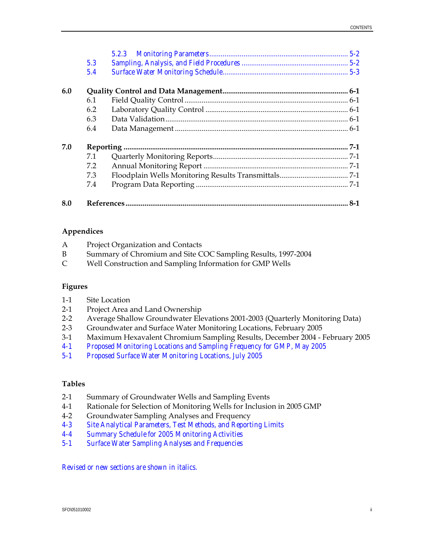|     | 5.3 |  |
|-----|-----|--|
|     | 5.4 |  |
| 6.0 |     |  |
|     | 6.1 |  |
|     | 6.2 |  |
|     | 6.3 |  |
|     | 6.4 |  |
| 7.0 |     |  |
|     | 7.1 |  |
|     | 7.2 |  |
|     | 7.3 |  |
|     | 7.4 |  |
| 8.0 |     |  |

#### **Appendices**

| A              | Project Organization and Contacts                            |
|----------------|--------------------------------------------------------------|
| B              | Summary of Chromium and Site COC Sampling Results, 1997-2004 |
| $\mathsf{C}^-$ | Well Construction and Sampling Information for GMP Wells     |

#### **Figures**

| $1-1$<br>Site Location |
|------------------------|
|------------------------|

- 2-1 Project Area and Land Ownership
- 2-2 Average Shallow Groundwater Elevations 2001-2003 (Quarterly Monitoring Data)
- 2-3 Groundwater and Surface Water Monitoring Locations, February 2005
- 3-1 Maximum Hexavalent Chromium Sampling Results, December 2004 February 2005
- *4-1 Proposed Monitoring Locations and Sampling Frequency for GMP, May 2005*
- *5-1 Proposed Surface Water Monitoring Locations, July 2005*

#### **Tables**

- 2-1 Summary of Groundwater Wells and Sampling Events
- 4-1 Rationale for Selection of Monitoring Wells for Inclusion in 2005 GMP
- 4-2 Groundwater Sampling Analyses and Frequency
- *4-3 Site Analytical Parameters, Test Methods, and Reporting Limits*
- *4-4 Summary Schedule for 2005 Monitoring Activities*
- *5-1 Surface Water Sampling Analyses and Frequencies*

*Revised or new sections are shown in italics.*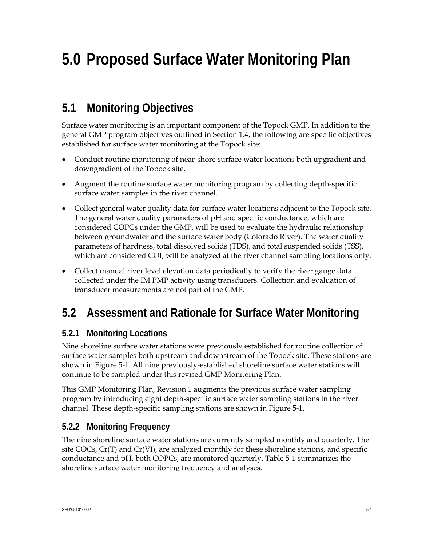## **5.1 Monitoring Objectives**

Surface water monitoring is an important component of the Topock GMP. In addition to the general GMP program objectives outlined in Section 1.4, the following are specific objectives established for surface water monitoring at the Topock site:

- Conduct routine monitoring of near-shore surface water locations both upgradient and downgradient of the Topock site.
- Augment the routine surface water monitoring program by collecting depth-specific surface water samples in the river channel.
- Collect general water quality data for surface water locations adjacent to the Topock site. The general water quality parameters of pH and specific conductance, which are considered COPCs under the GMP, will be used to evaluate the hydraulic relationship between groundwater and the surface water body (Colorado River). The water quality parameters of hardness, total dissolved solids (TDS), and total suspended solids (TSS), which are considered COI, will be analyzed at the river channel sampling locations only.
- Collect manual river level elevation data periodically to verify the river gauge data collected under the IM PMP activity using transducers. Collection and evaluation of transducer measurements are not part of the GMP.

## **5.2 Assessment and Rationale for Surface Water Monitoring**

## **5.2.1 Monitoring Locations**

Nine shoreline surface water stations were previously established for routine collection of surface water samples both upstream and downstream of the Topock site. These stations are shown in Figure 5-1. All nine previously-established shoreline surface water stations will continue to be sampled under this revised GMP Monitoring Plan.

This GMP Monitoring Plan, Revision 1 augments the previous surface water sampling program by introducing eight depth-specific surface water sampling stations in the river channel. These depth-specific sampling stations are shown in Figure 5-1.

## **5.2.2 Monitoring Frequency**

The nine shoreline surface water stations are currently sampled monthly and quarterly. The site COCs, Cr(T) and Cr(VI), are analyzed monthly for these shoreline stations, and specific conductance and pH, both COPCs, are monitored quarterly. Table 5-1 summarizes the shoreline surface water monitoring frequency and analyses.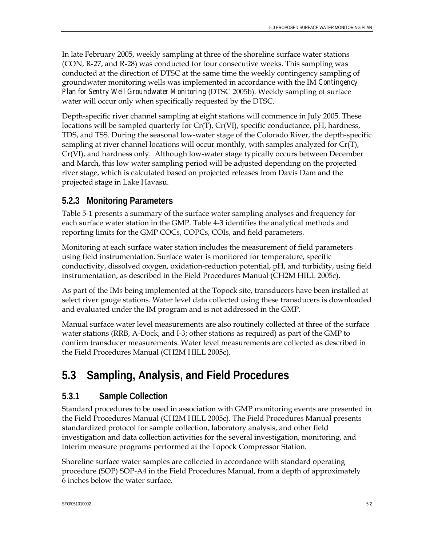In late February 2005, weekly sampling at three of the shoreline surface water stations (CON, R-27, and R-28) was conducted for four consecutive weeks. This sampling was conducted at the direction of DTSC at the same time the weekly contingency sampling of groundwater monitoring wells was implemented in accordance with the IM *Contingency Plan for Sentry Well Groundwater Monitoring* (DTSC 2005b). Weekly sampling of surface water will occur only when specifically requested by the DTSC.

Depth-specific river channel sampling at eight stations will commence in July 2005. These locations will be sampled quarterly for  $Cr(T)$ ,  $Cr(VI)$ , specific conductance, pH, hardness, TDS, and TSS. During the seasonal low-water stage of the Colorado River, the depth-specific sampling at river channel locations will occur monthly, with samples analyzed for  $Cr(T)$ , Cr(VI), and hardness only. Although low-water stage typically occurs between December and March, this low water sampling period will be adjusted depending on the projected river stage, which is calculated based on projected releases from Davis Dam and the projected stage in Lake Havasu.

### **5.2.3 Monitoring Parameters**

Table 5-1 presents a summary of the surface water sampling analyses and frequency for each surface water station in the GMP. Table 4-3 identifies the analytical methods and reporting limits for the GMP COCs, COPCs, COIs, and field parameters.

Monitoring at each surface water station includes the measurement of field parameters using field instrumentation. Surface water is monitored for temperature, specific conductivity, dissolved oxygen, oxidation-reduction potential, pH, and turbidity, using field instrumentation, as described in the Field Procedures Manual (CH2M HILL 2005c).

As part of the IMs being implemented at the Topock site, transducers have been installed at select river gauge stations. Water level data collected using these transducers is downloaded and evaluated under the IM program and is not addressed in the GMP.

Manual surface water level measurements are also routinely collected at three of the surface water stations (RRB, A-Dock, and I-3; other stations as required) as part of the GMP to confirm transducer measurements. Water level measurements are collected as described in the Field Procedures Manual (CH2M HILL 2005c).

## **5.3 Sampling, Analysis, and Field Procedures**

### **5.3.1 Sample Collection**

Standard procedures to be used in association with GMP monitoring events are presented in the Field Procedures Manual (CH2M HILL 2005c). The Field Procedures Manual presents standardized protocol for sample collection, laboratory analysis, and other field investigation and data collection activities for the several investigation, monitoring, and interim measure programs performed at the Topock Compressor Station.

Shoreline surface water samples are collected in accordance with standard operating procedure (SOP) SOP-A4 in the Field Procedures Manual, from a depth of approximately 6 inches below the water surface.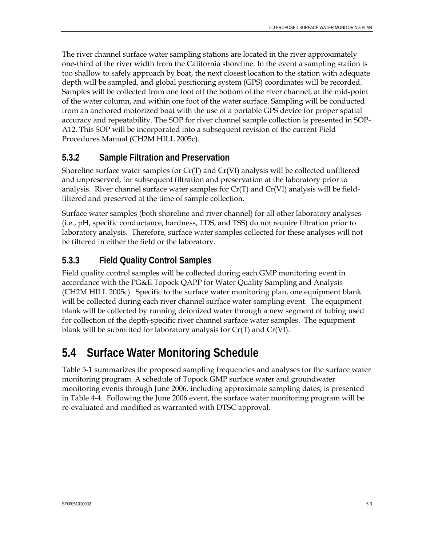The river channel surface water sampling stations are located in the river approximately one-third of the river width from the California shoreline. In the event a sampling station is too shallow to safely approach by boat, the next closest location to the station with adequate depth will be sampled, and global positioning system (GPS) coordinates will be recorded. Samples will be collected from one foot off the bottom of the river channel, at the mid-point of the water column, and within one foot of the water surface. Sampling will be conducted from an anchored motorized boat with the use of a portable GPS device for proper spatial accuracy and repeatability. The SOP for river channel sample collection is presented in SOP-A12. This SOP will be incorporated into a subsequent revision of the current Field Procedures Manual (CH2M HILL 2005c).

### **5.3.2 Sample Filtration and Preservation**

Shoreline surface water samples for  $Cr(T)$  and  $Cr(VI)$  analysis will be collected unfiltered and unpreserved, for subsequent filtration and preservation at the laboratory prior to analysis. River channel surface water samples for  $Cr(T)$  and  $Cr(VI)$  analysis will be fieldfiltered and preserved at the time of sample collection.

Surface water samples (both shoreline and river channel) for all other laboratory analyses (i.e., pH, specific conductance, hardness, TDS, and TSS) do not require filtration prior to laboratory analysis. Therefore, surface water samples collected for these analyses will not be filtered in either the field or the laboratory.

### **5.3.3 Field Quality Control Samples**

Field quality control samples will be collected during each GMP monitoring event in accordance with the PG&E Topock QAPP for Water Quality Sampling and Analysis (CH2M HILL 2005c). Specific to the surface water monitoring plan, one equipment blank will be collected during each river channel surface water sampling event. The equipment blank will be collected by running deionized water through a new segment of tubing used for collection of the depth-specific river channel surface water samples. The equipment blank will be submitted for laboratory analysis for Cr(T) and Cr(VI).

## **5.4 Surface Water Monitoring Schedule**

Table 5-1 summarizes the proposed sampling frequencies and analyses for the surface water monitoring program. A schedule of Topock GMP surface water and groundwater monitoring events through June 2006, including approximate sampling dates, is presented in Table 4-4. Following the June 2006 event, the surface water monitoring program will be re-evaluated and modified as warranted with DTSC approval.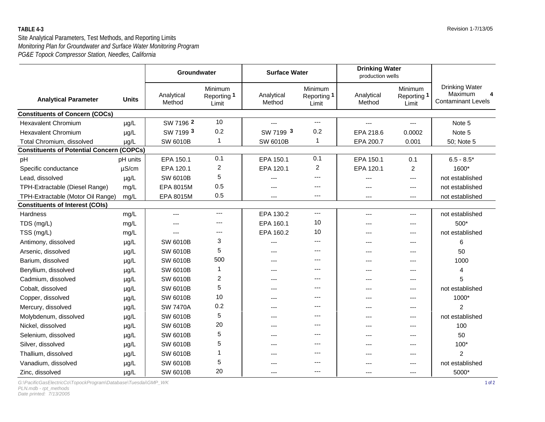#### Site Analytical Parameters, Test Methods, and Reporting Limits *PG&E Topock Compressor Station, Needles, California Monitoring Plan for Groundwater and Surface Water Monitoring Program*

|                                                  |              | <b>Surface Water</b><br>Groundwater |                                 | <b>Drinking Water</b><br>production wells |                                 |                      |                                 |                                                                    |
|--------------------------------------------------|--------------|-------------------------------------|---------------------------------|-------------------------------------------|---------------------------------|----------------------|---------------------------------|--------------------------------------------------------------------|
| <b>Analytical Parameter</b>                      | <b>Units</b> | Analytical<br>Method                | Minimum<br>Reporting 1<br>Limit | Analytical<br>Method                      | Minimum<br>Reporting 1<br>Limit | Analytical<br>Method | Minimum<br>Reporting 1<br>Limit | <b>Drinking Water</b><br>Maximum<br>4<br><b>Contaminant Levels</b> |
| <b>Constituents of Concern (COCs)</b>            |              |                                     |                                 |                                           |                                 |                      |                                 |                                                                    |
| <b>Hexavalent Chromium</b>                       | µg/L         | SW 7196 2                           | 10                              | $---$                                     | ---                             | ---                  | $\qquad \qquad - -$             | Note 5                                                             |
| <b>Hexavalent Chromium</b>                       | µg/L         | SW 7199 3                           | 0.2                             | SW 7199 3                                 | 0.2                             | EPA 218.6            | 0.0002                          | Note 5                                                             |
| Total Chromium, dissolved                        | $\mu$ g/L    | <b>SW 6010B</b>                     | $\mathbf{1}$                    | <b>SW 6010B</b>                           | 1                               | EPA 200.7            | 0.001                           | 50; Note 5                                                         |
| <b>Constituents of Potential Concern (COPCs)</b> |              |                                     |                                 |                                           |                                 |                      |                                 |                                                                    |
| pH                                               | pH units     | EPA 150.1                           | 0.1                             | EPA 150.1                                 | 0.1                             | EPA 150.1            | 0.1                             | $6.5 - 8.5*$                                                       |
| Specific conductance                             | $\mu$ S/cm   | EPA 120.1                           | $\overline{c}$                  | EPA 120.1                                 | $\overline{2}$                  | EPA 120.1            | $\overline{2}$                  | 1600*                                                              |
| Lead, dissolved                                  | µg/L         | <b>SW 6010B</b>                     | 5                               |                                           | ---                             | ---                  | ---                             | not established                                                    |
| TPH-Extractable (Diesel Range)                   | mg/L         | EPA 8015M                           | 0.5                             |                                           | ---                             |                      | $---$                           | not established                                                    |
| TPH-Extractable (Motor Oil Range)                | mg/L         | EPA 8015M                           | 0.5                             | ---                                       | ---                             | ---                  | ---                             | not established                                                    |
| <b>Constituents of Interest (COIs)</b>           |              |                                     |                                 |                                           |                                 |                      |                                 |                                                                    |
| <b>Hardness</b>                                  | mg/L         | ---                                 | $\overline{a}$                  | EPA 130.2                                 | ---                             | ---                  | ---                             | not established                                                    |
| TDS (mg/L)                                       | mg/L         | ---                                 | $---$                           | EPA 160.1                                 | 10                              | ---                  | ---                             | 500*                                                               |
| TSS (mg/L)                                       | mg/L         | ---                                 | $---$                           | EPA 160.2                                 | 10                              | ---                  | $---$                           | not established                                                    |
| Antimony, dissolved                              | $\mu$ g/L    | <b>SW 6010B</b>                     | 3                               | ---                                       | ---                             | ---                  | ---                             | 6                                                                  |
| Arsenic, dissolved                               | µg/L         | <b>SW 6010B</b>                     | 5                               |                                           | ---                             |                      | ---                             | 50                                                                 |
| Barium, dissolved                                | µg/L         | <b>SW 6010B</b>                     | 500                             | ---                                       | ---                             | ---                  | ---                             | 1000                                                               |
| Beryllium, dissolved                             | µg/L         | <b>SW 6010B</b>                     | 1                               | ---                                       | ---                             | ---                  | ---                             | 4                                                                  |
| Cadmium, dissolved                               | µg/L         | <b>SW 6010B</b>                     | 2                               |                                           |                                 |                      | ---                             | 5                                                                  |
| Cobalt, dissolved                                | µg/L         | <b>SW 6010B</b>                     | 5                               | ---                                       |                                 | ---                  | ---                             | not established                                                    |
| Copper, dissolved                                | µg/L         | <b>SW 6010B</b>                     | 10                              | ---                                       |                                 | ---                  | ---                             | 1000*                                                              |
| Mercury, dissolved                               | $\mu g/L$    | <b>SW 7470A</b>                     | 0.2                             | ---                                       | ---                             | ---                  | ---                             | $\overline{2}$                                                     |
| Molybdenum, dissolved                            | µg/L         | <b>SW 6010B</b>                     | 5                               | $---$                                     | ---                             | ---                  | $---$                           | not established                                                    |
| Nickel, dissolved                                | µg/L         | <b>SW 6010B</b>                     | 20                              | ---                                       | ---                             | ---                  | ---                             | 100                                                                |
| Selenium, dissolved                              | µg/L         | <b>SW 6010B</b>                     | 5                               | ---                                       | ---                             |                      | ---                             | 50                                                                 |
| Silver, dissolved                                | µg/L         | <b>SW 6010B</b>                     | 5                               |                                           | ---                             |                      | ---                             | 100*                                                               |
| Thallium, dissolved                              | $\mu$ g/L    | <b>SW 6010B</b>                     | 1                               |                                           |                                 | ---                  | ---                             | $\overline{2}$                                                     |
| Vanadium, dissolved                              | $\mu$ g/L    | <b>SW 6010B</b>                     | 5                               |                                           |                                 |                      | ---                             | not established                                                    |
| Zinc, dissolved                                  | µg/L         | <b>SW 6010B</b>                     | 20                              | ---                                       | ---                             | $---$                | $---$                           | 5000*                                                              |

*G:\PacificGasElectricCo\TopockProgram\Database\Tuesdai\GMP\_WK* 1 of 2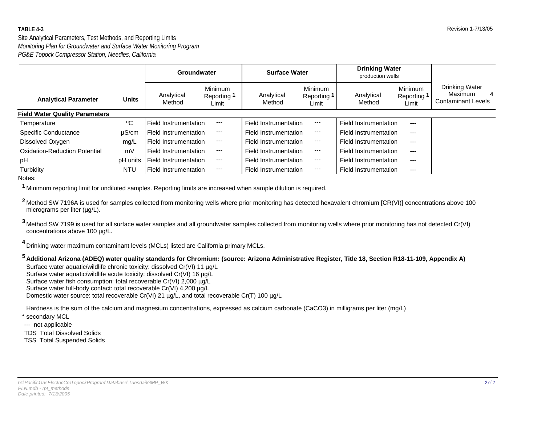#### Site Analytical Parameters, Test Methods, and Reporting Limits *PG&E Topock Compressor Station, Needles, California Monitoring Plan for Groundwater and Surface Water Monitoring Program*

|                                       |              | Groundwater           |                                 | <b>Surface Water</b>  |                                 | <b>Drinking Water</b><br>production wells |                                        |                                                                           |
|---------------------------------------|--------------|-----------------------|---------------------------------|-----------------------|---------------------------------|-------------------------------------------|----------------------------------------|---------------------------------------------------------------------------|
| <b>Analytical Parameter</b>           | <b>Units</b> | Analytical<br>Method  | Minimum<br>Reporting 1<br>Limit | Analytical<br>Method  | Minimum<br>Reporting 1<br>Limit | Analytical<br>Method                      | <b>Minimum</b><br>Reporting 1<br>Limit | <b>Drinking Water</b><br><b>Maximum</b><br>4<br><b>Contaminant Levels</b> |
| <b>Field Water Quality Parameters</b> |              |                       |                                 |                       |                                 |                                           |                                        |                                                                           |
| Temperature                           | °C           | Field Instrumentation | $---$                           | Field Instrumentation | $\qquad \qquad -$               | Field Instrumentation                     | ---                                    |                                                                           |
| Specific Conductance                  | $\mu$ S/cm   | Field Instrumentation | $\frac{1}{2}$                   | Field Instrumentation | $---$                           | Field Instrumentation                     | $---$                                  |                                                                           |
| Dissolved Oxygen                      | mg/L         | Field Instrumentation | $--$                            | Field Instrumentation | $\qquad \qquad \cdots$          | Field Instrumentation                     | $---$                                  |                                                                           |
| Oxidation-Reduction Potential         | mV           | Field Instrumentation | $\scriptstyle\cdots$            | Field Instrumentation | $---$                           | Field Instrumentation                     | $---$                                  |                                                                           |
| pH                                    | pH units     | Field Instrumentation | $\hspace{0.05cm} \ldots$        | Field Instrumentation | $---$                           | Field Instrumentation                     | ---                                    |                                                                           |
| Turbidity                             | <b>NTU</b>   | Field Instrumentation | $\scriptstyle\cdots$            | Field Instrumentation | ---                             | Field Instrumentation                     | $---$                                  |                                                                           |

Notes:

Minimum reporting limit for undiluted samples. Reporting limits are increased when sample dilution is required. **1**

2 Method SW 7196A is used for samples collected from monitoring wells where prior monitoring has detected hexavalent chromium [CR(VI)] concentrations above 100 micrograms per liter (ug/L).

<sup>3</sup> Method SW 7199 is used for all surface water samples and all groundwater samples collected from monitoring wells where prior monitoring has not detected Cr(VI) concentrations above 100 ug/L.

Drinking water maximum contaminant levels (MCLs) listed are California primary MCLs. **4**

#### **5 Additional Arizona (ADEQ) water quality standards for Chromium: (source: Arizona Administrative Register, Title 18, Section R18-11-109, Appendix A)**

Surface water aquatic/wildlife chronic toxicity: dissolved Cr(VI) 11 µg/L Surface water aquatic/wildlife acute toxicity: dissolved Cr(VI) 16 µg/L Surface water fish consumption: total recoverable Cr(VI) 2,000 µg/L Surface water full-body contact: total recoverable Cr(VI) 4,200 µg/L Domestic water source: total recoverable Cr(VI) 21 µg/L, and total recoverable Cr(T) 100 µg/L

Hardness is the sum of the calcium and magnesium concentrations, expressed as calcium carbonate (CaCO3) in milligrams per liter (mg/L)

- **\*** secondary MCL
- --- not applicable
- TDS Total Dissolved Solids
- TSS Total Suspended Solids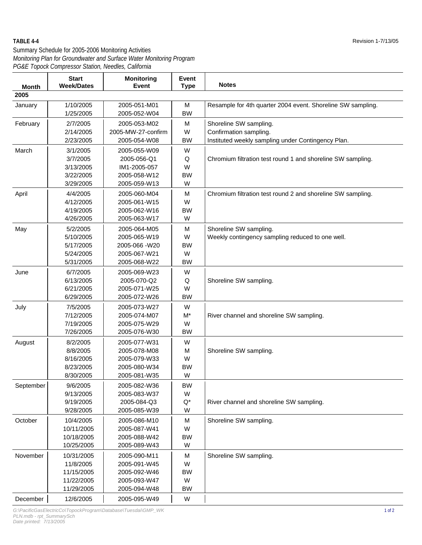| <b>Month</b> | <b>Start</b><br><b>Week/Dates</b> | <b>Monitoring</b><br><b>Event</b> | Event<br><b>Type</b> | <b>Notes</b>                                                |
|--------------|-----------------------------------|-----------------------------------|----------------------|-------------------------------------------------------------|
| 2005         |                                   |                                   |                      |                                                             |
|              |                                   | 2005-051-M01                      |                      |                                                             |
| January      | 1/10/2005<br>1/25/2005            | 2005-052-W04                      | M<br><b>BW</b>       | Resample for 4th quarter 2004 event. Shoreline SW sampling. |
| February     | 2/7/2005                          | 2005-053-M02                      | M                    | Shoreline SW sampling.                                      |
|              | 2/14/2005                         | 2005-MW-27-confirm                | W                    | Confirmation sampling.                                      |
|              | 2/23/2005                         | 2005-054-W08                      | <b>BW</b>            | Instituted weekly sampling under Contingency Plan.          |
| March        | 3/1/2005                          | 2005-055-W09                      | W                    |                                                             |
|              | 3/7/2005                          | 2005-056-Q1                       | Q                    | Chromium filtration test round 1 and shoreline SW sampling. |
|              | 3/13/2005                         | IM1-2005-057                      | W                    |                                                             |
|              | 3/22/2005                         | 2005-058-W12                      | <b>BW</b>            |                                                             |
|              | 3/29/2005                         | 2005-059-W13                      | W                    |                                                             |
| April        | 4/4/2005                          | 2005-060-M04                      | M                    | Chromium filtration test round 2 and shoreline SW sampling. |
|              | 4/12/2005                         | 2005-061-W15                      | W                    |                                                             |
|              | 4/19/2005                         | 2005-062-W16                      | <b>BW</b>            |                                                             |
|              | 4/26/2005                         | 2005-063-W17                      | W                    |                                                             |
| May          | 5/2/2005                          | 2005-064-M05                      | M                    | Shoreline SW sampling.                                      |
|              | 5/10/2005                         | 2005-065-W19                      | W                    | Weekly contingency sampling reduced to one well.            |
|              | 5/17/2005                         | 2005-066 - W20                    | <b>BW</b>            |                                                             |
|              | 5/24/2005                         | 2005-067-W21                      | W                    |                                                             |
|              | 5/31/2005                         | 2005-068-W22                      | <b>BW</b>            |                                                             |
| June         | 6/7/2005                          | 2005-069-W23                      | W                    |                                                             |
|              | 6/13/2005                         | 2005-070-Q2                       | Q                    | Shoreline SW sampling.                                      |
|              | 6/21/2005                         | 2005-071-W25                      | W                    |                                                             |
|              | 6/29/2005                         | 2005-072-W26                      | <b>BW</b>            |                                                             |
| July         | 7/5/2005                          | 2005-073-W27                      | W                    |                                                             |
|              | 7/12/2005                         | 2005-074-M07                      | $M^*$                | River channel and shoreline SW sampling.                    |
|              | 7/19/2005                         | 2005-075-W29                      | W                    |                                                             |
|              | 7/26/2005                         | 2005-076-W30                      | <b>BW</b>            |                                                             |
| August       | 8/2/2005                          | 2005-077-W31                      | W                    |                                                             |
|              | 8/8/2005                          | 2005-078-M08                      | M                    | Shoreline SW sampling.                                      |
|              | 8/16/2005                         | 2005-079-W33                      | W                    |                                                             |
|              | 8/23/2005                         | 2005-080-W34                      | <b>BW</b>            |                                                             |
|              | 8/30/2005                         | 2005-081-W35                      | W                    |                                                             |
| September    | 9/6/2005                          | 2005-082-W36                      | BW                   |                                                             |
|              | 9/13/2005                         | 2005-083-W37                      | W                    |                                                             |
|              | 9/19/2005                         | 2005-084-Q3                       | $\mathsf{Q}^\star$   | River channel and shoreline SW sampling.                    |
|              | 9/28/2005                         | 2005-085-W39                      | W                    |                                                             |
| October      | 10/4/2005                         | 2005-086-M10                      | M                    | Shoreline SW sampling.                                      |
|              | 10/11/2005                        | 2005-087-W41                      | W                    |                                                             |
|              | 10/18/2005                        | 2005-088-W42                      | <b>BW</b>            |                                                             |
|              | 10/25/2005                        | 2005-089-W43                      | W                    |                                                             |
| November     | 10/31/2005                        | 2005-090-M11                      | M                    | Shoreline SW sampling.                                      |
|              | 11/8/2005                         | 2005-091-W45                      | W                    |                                                             |
|              | 11/15/2005                        | 2005-092-W46                      | <b>BW</b>            |                                                             |
|              | 11/22/2005                        | 2005-093-W47                      | W                    |                                                             |
|              | 11/29/2005                        | 2005-094-W48                      | <b>BW</b>            |                                                             |
| December     | 12/6/2005                         | 2005-095-W49                      | W                    |                                                             |

*G:\PacificGasElectricCo\TopockProgram\Database\Tuesdai\GMP\_WK* 1 of 2 *PLN.mdb - rpt\_SummarySch*

*Date printed: 7/13/2005*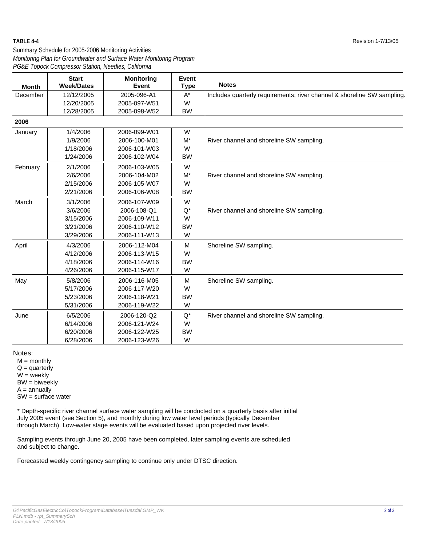#### Summary Schedule for 2005-2006 Monitoring Activities *PG&E Topock Compressor Station, Needles, California Monitoring Plan for Groundwater and Surface Water Monitoring Program*

| <b>Month</b> | <b>Start</b><br><b>Week/Dates</b> | <b>Monitoring</b><br><b>Event</b> | <b>Event</b><br><b>Type</b> | <b>Notes</b>                                                            |
|--------------|-----------------------------------|-----------------------------------|-----------------------------|-------------------------------------------------------------------------|
| December     | 12/12/2005                        | 2005-096-A1                       | $A^*$                       | Includes quarterly requirements; river channel & shoreline SW sampling. |
|              | 12/20/2005                        | 2005-097-W51                      | W                           |                                                                         |
|              | 12/28/2005                        | 2005-098-W52                      | <b>BW</b>                   |                                                                         |
| 2006         |                                   |                                   |                             |                                                                         |
| January      | 1/4/2006                          | 2006-099-W01                      | W                           |                                                                         |
|              | 1/9/2006                          | 2006-100-M01                      | $M^*$                       | River channel and shoreline SW sampling.                                |
|              | 1/18/2006                         | 2006-101-W03                      | W                           |                                                                         |
|              | 1/24/2006                         | 2006-102-W04                      | <b>BW</b>                   |                                                                         |
| February     | 2/1/2006                          | 2006-103-W05                      | W                           |                                                                         |
|              | 2/6/2006                          | 2006-104-M02                      | $M^*$                       | River channel and shoreline SW sampling.                                |
|              | 2/15/2006                         | 2006-105-W07                      | W                           |                                                                         |
|              | 2/21/2006                         | 2006-106-W08                      | <b>BW</b>                   |                                                                         |
| March        | 3/1/2006                          | 2006-107-W09                      | W                           |                                                                         |
|              | 3/6/2006                          | 2006-108-Q1                       | $Q^*$                       | River channel and shoreline SW sampling.                                |
|              | 3/15/2006                         | 2006-109-W11                      | W                           |                                                                         |
|              | 3/21/2006                         | 2006-110-W12                      | <b>BW</b>                   |                                                                         |
|              | 3/29/2006                         | 2006-111-W13                      | W                           |                                                                         |
| April        | 4/3/2006                          | 2006-112-M04                      | M                           | Shoreline SW sampling.                                                  |
|              | 4/12/2006                         | 2006-113-W15                      | W                           |                                                                         |
|              | 4/18/2006                         | 2006-114-W16                      | <b>BW</b>                   |                                                                         |
|              | 4/26/2006                         | 2006-115-W17                      | W                           |                                                                         |
| May          | 5/8/2006                          | 2006-116-M05                      | M                           | Shoreline SW sampling.                                                  |
|              | 5/17/2006                         | 2006-117-W20                      | W                           |                                                                         |
|              | 5/23/2006                         | 2006-118-W21                      | <b>BW</b>                   |                                                                         |
|              | 5/31/2006                         | 2006-119-W22                      | W                           |                                                                         |
| June         | 6/5/2006                          | 2006-120-Q2                       | $Q^*$                       | River channel and shoreline SW sampling.                                |
|              | 6/14/2006                         | 2006-121-W24                      | W                           |                                                                         |
|              | 6/20/2006                         | 2006-122-W25                      | <b>BW</b>                   |                                                                         |
|              | 6/28/2006                         | 2006-123-W26                      | W                           |                                                                         |

Notes:

 $M =$  monthly  $Q =$  quarterly  $W =$  weekly  $BW = b$ iweekly  $A =$ annually SW = surface water

\* Depth-specific river channel surface water sampling will be conducted on a quarterly basis after initial July 2005 event (see Section 5), and monthly during low water level periods (typically December through March). Low-water stage events will be evaluated based upon projected river levels.

Sampling events through June 20, 2005 have been completed, later sampling events are scheduled and subject to change.

Forecasted weekly contingency sampling to continue only under DTSC direction.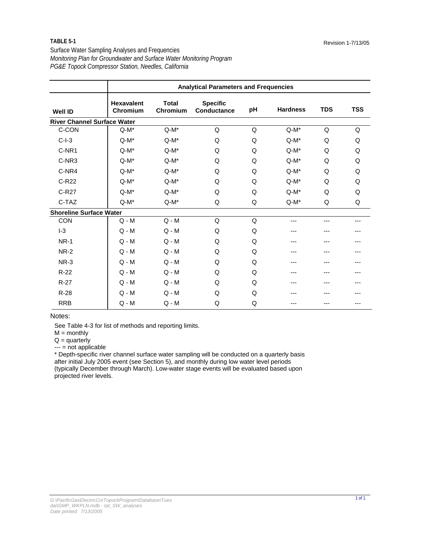#### **TABLE 5-1**

Surface Water Sampling Analyses and Frequencies *PG&E Topock Compressor Station, Needles, California Monitoring Plan for Groundwater and Surface Water Monitoring Program*

|                                    |                               |                          | <b>Analytical Parameters and Frequencies</b> |    |                 |            |            |  |  |  |  |
|------------------------------------|-------------------------------|--------------------------|----------------------------------------------|----|-----------------|------------|------------|--|--|--|--|
| <b>Well ID</b>                     | <b>Hexavalent</b><br>Chromium | <b>Total</b><br>Chromium | <b>Specific</b><br>Conductance               | pH | <b>Hardness</b> | <b>TDS</b> | <b>TSS</b> |  |  |  |  |
| <b>River Channel Surface Water</b> |                               |                          |                                              |    |                 |            |            |  |  |  |  |
| C-CON                              | $Q-M^*$                       | $Q-M^*$                  | Q                                            | Q  | $Q-M^*$         | Q          | Q          |  |  |  |  |
| $C-I-3$                            | $Q-M^*$                       | $Q-M^*$                  | Q                                            | Q  | $Q-M^*$         | Q          | Q          |  |  |  |  |
| C-NR1                              | $Q-M^*$                       | $Q-M^*$                  | Q                                            | Q  | $Q-M^*$         | Q          | Q          |  |  |  |  |
| C-NR3                              | $Q-M^*$                       | $Q-M^*$                  | Q                                            | Q  | $Q-M^*$         | Q          | Q          |  |  |  |  |
| C-NR4                              | $Q-M^*$                       | $Q-M^*$                  | Q                                            | Q  | $Q-M^*$         | Q          | Q          |  |  |  |  |
| C-R22                              | $Q-M^*$                       | $Q-M^*$                  | Q                                            | Q  | $Q-M^*$         | Q          | Q          |  |  |  |  |
| C-R27                              | $Q-M^*$                       | $Q-M^*$                  | Q                                            | Q  | $Q-M^*$         | Q          | Q          |  |  |  |  |
| C-TAZ                              | $Q-M^*$                       | $Q-M^*$                  | Q                                            | Q  | $Q-M^*$         | Q          | Q          |  |  |  |  |
| <b>Shoreline Surface Water</b>     |                               |                          |                                              |    |                 |            |            |  |  |  |  |
| CON                                | $Q - M$                       | $Q - M$                  | Q                                            | Q  | ---             | ---        |            |  |  |  |  |
| $-3$                               | $Q - M$                       | $Q - M$                  | Q                                            | Q  | ---             | ---        |            |  |  |  |  |
| <b>NR-1</b>                        | $Q - M$                       | $Q - M$                  | Q                                            | Q  | ---             |            |            |  |  |  |  |
| <b>NR-2</b>                        | $Q - M$                       | $Q - M$                  | Q                                            | Q  | ---             |            |            |  |  |  |  |
| NR-3                               | $Q - M$                       | $Q - M$                  | Q                                            | Q  |                 |            |            |  |  |  |  |
| $R-22$                             | $Q - M$                       | $Q - M$                  | Q                                            | Q  | ---             | ---        |            |  |  |  |  |
| $R-27$                             | $Q - M$                       | $Q - M$                  | Q                                            | Q  |                 |            |            |  |  |  |  |
| $R-28$                             | $Q - M$                       | $Q - M$                  | Q                                            | Q  |                 |            |            |  |  |  |  |
| <b>RRB</b>                         | $Q - M$                       | $Q - M$                  | Q                                            | Q  |                 | ---        |            |  |  |  |  |

#### Notes:

See Table 4-3 for list of methods and reporting limits.

 $M =$  monthly

 $Q =$  quarterly

--- = not applicable

\* Depth-specific river channel surface water sampling will be conducted on a quarterly basis after initial July 2005 event (see Section 5), and monthly during low water level periods (typically December through March). Low-water stage events will be evaluated based upon projected river levels.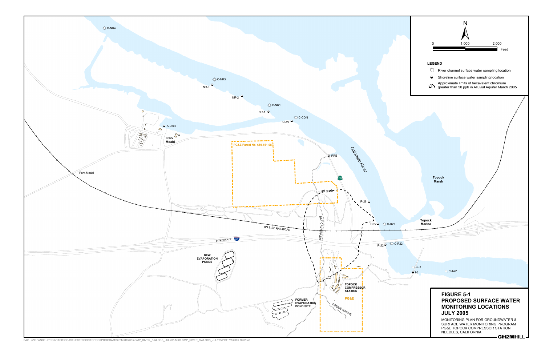

BAO \\ZINFANDEL\PROJ\PACIFICGASELECTRICCO\TOPOCKPROGRAM\GIS\MXD\2005\GMP\_RIVER\_SWLOCS\_JULY05.MXD GMP\_RIVER\_SWLOCS\_JULY05.PDF 7/7/2005 10:08:43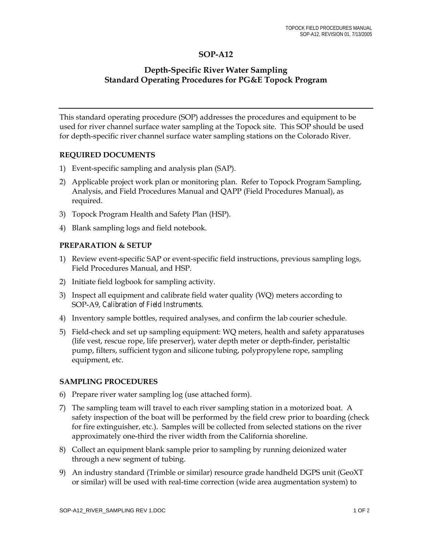#### **SOP-A12**

#### **Depth-Specific River Water Sampling Standard Operating Procedures for PG&E Topock Program**

This standard operating procedure (SOP) addresses the procedures and equipment to be used for river channel surface water sampling at the Topock site. This SOP should be used for depth-specific river channel surface water sampling stations on the Colorado River.

#### **REQUIRED DOCUMENTS**

- 1) Event-specific sampling and analysis plan (SAP).
- 2) Applicable project work plan or monitoring plan. Refer to Topock Program Sampling, Analysis, and Field Procedures Manual and QAPP (Field Procedures Manual), as required.
- 3) Topock Program Health and Safety Plan (HSP).
- 4) Blank sampling logs and field notebook.

#### **PREPARATION & SETUP**

- 1) Review event-specific SAP or event-specific field instructions, previous sampling logs, Field Procedures Manual, and HSP.
- 2) Initiate field logbook for sampling activity.
- 3) Inspect all equipment and calibrate field water quality (WQ) meters according to SOP-A9, *Calibration of Field Instruments*.
- 4) Inventory sample bottles, required analyses, and confirm the lab courier schedule.
- 5) Field-check and set up sampling equipment: WQ meters, health and safety apparatuses (life vest, rescue rope, life preserver), water depth meter or depth-finder, peristaltic pump, filters, sufficient tygon and silicone tubing, polypropylene rope, sampling equipment, etc.

#### **SAMPLING PROCEDURES**

- 6) Prepare river water sampling log (use attached form).
- 7) The sampling team will travel to each river sampling station in a motorized boat. A safety inspection of the boat will be performed by the field crew prior to boarding (check for fire extinguisher, etc.). Samples will be collected from selected stations on the river approximately one-third the river width from the California shoreline.
- 8) Collect an equipment blank sample prior to sampling by running deionized water through a new segment of tubing.
- 9) An industry standard (Trimble or similar) resource grade handheld DGPS unit (GeoXT or similar) will be used with real-time correction (wide area augmentation system) to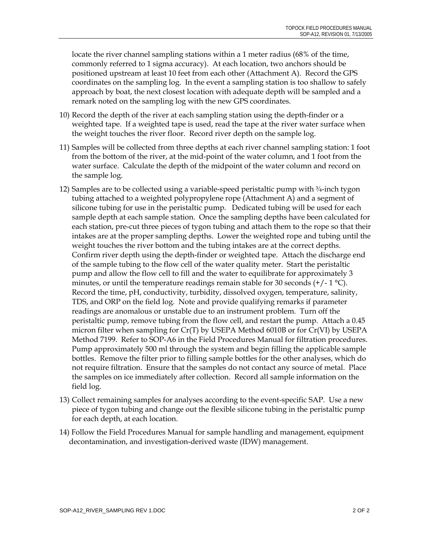locate the river channel sampling stations within a 1 meter radius (68% of the time, commonly referred to 1 sigma accuracy). At each location, two anchors should be positioned upstream at least 10 feet from each other (Attachment A). Record the GPS coordinates on the sampling log. In the event a sampling station is too shallow to safely approach by boat, the next closest location with adequate depth will be sampled and a remark noted on the sampling log with the new GPS coordinates.

- 10) Record the depth of the river at each sampling station using the depth-finder or a weighted tape. If a weighted tape is used, read the tape at the river water surface when the weight touches the river floor. Record river depth on the sample log.
- 11) Samples will be collected from three depths at each river channel sampling station: 1 foot from the bottom of the river, at the mid-point of the water column, and 1 foot from the water surface. Calculate the depth of the midpoint of the water column and record on the sample log.
- 12) Samples are to be collected using a variable-speed peristaltic pump with ¾-inch tygon tubing attached to a weighted polypropylene rope (Attachment A) and a segment of silicone tubing for use in the peristaltic pump. Dedicated tubing will be used for each sample depth at each sample station. Once the sampling depths have been calculated for each station, pre-cut three pieces of tygon tubing and attach them to the rope so that their intakes are at the proper sampling depths. Lower the weighted rope and tubing until the weight touches the river bottom and the tubing intakes are at the correct depths. Confirm river depth using the depth-finder or weighted tape. Attach the discharge end of the sample tubing to the flow cell of the water quality meter. Start the peristaltic pump and allow the flow cell to fill and the water to equilibrate for approximately 3 minutes, or until the temperature readings remain stable for 30 seconds  $(+/-1 \degree C)$ . Record the time, pH, conductivity, turbidity, dissolved oxygen, temperature, salinity, TDS, and ORP on the field log. Note and provide qualifying remarks if parameter readings are anomalous or unstable due to an instrument problem. Turn off the peristaltic pump, remove tubing from the flow cell, and restart the pump. Attach a 0.45 micron filter when sampling for Cr(T) by USEPA Method 6010B or for Cr(VI) by USEPA Method 7199. Refer to SOP-A6 in the Field Procedures Manual for filtration procedures. Pump approximately 500 ml through the system and begin filling the applicable sample bottles. Remove the filter prior to filling sample bottles for the other analyses, which do not require filtration. Ensure that the samples do not contact any source of metal. Place the samples on ice immediately after collection. Record all sample information on the field log.
- 13) Collect remaining samples for analyses according to the event-specific SAP. Use a new piece of tygon tubing and change out the flexible silicone tubing in the peristaltic pump for each depth, at each location.
- 14) Follow the Field Procedures Manual for sample handling and management, equipment decontamination, and investigation-derived waste (IDW) management.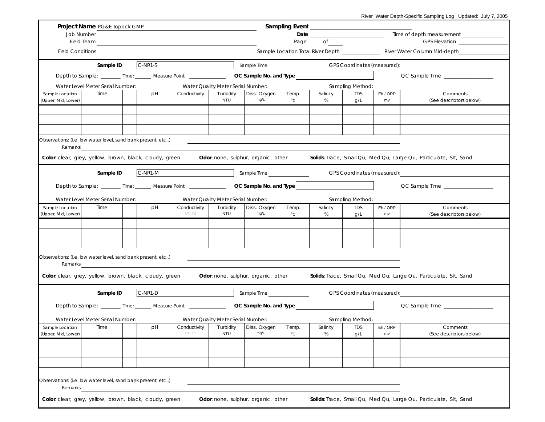|                                                    | Project Name PG&E Topock GMP                                                                                                                                                                                                        |  |           |                                |                                                 |                                            |                       |               |                                |                |                                                                    |  |
|----------------------------------------------------|-------------------------------------------------------------------------------------------------------------------------------------------------------------------------------------------------------------------------------------|--|-----------|--------------------------------|-------------------------------------------------|--------------------------------------------|-----------------------|---------------|--------------------------------|----------------|--------------------------------------------------------------------|--|
|                                                    | Job Number                                                                                                                                                                                                                          |  |           |                                |                                                 |                                            |                       |               |                                |                |                                                                    |  |
| Field Team <b>Field Team Field Team Field Team</b> |                                                                                                                                                                                                                                     |  |           |                                |                                                 |                                            |                       | Page _____ of | GPS Elevation ________________ |                |                                                                    |  |
|                                                    | Field Conditions <b>Example 20</b> Section 20 and 20 Section 20 and 20 Section 20 and 20 Section 20 and 20 Section 20 and 20 Section 20 and 20 Section 20 and 20 Section 20 and 20 Section 20 and 20 Section 20 and 20 Section 20 a |  |           |                                |                                                 |                                            |                       |               |                                |                |                                                                    |  |
|                                                    | Sample ID                                                                                                                                                                                                                           |  | $C-NR1-S$ |                                |                                                 | Sample Time                                |                       |               | GPS Coordinates (measured):    |                |                                                                    |  |
|                                                    | Depth to Sample: _______ Time: ______ Measure Point: _________________ QC Sample No. and Type                                                                                                                                       |  |           |                                |                                                 |                                            |                       |               |                                |                | QC Sample Time __________________                                  |  |
|                                                    | Water Level Meter Serial Number:                                                                                                                                                                                                    |  |           |                                | Water Quality Meter Serial Number:              |                                            |                       |               | Sampling Method:               |                |                                                                    |  |
| Sample Location<br>(Upper, Mid, Lower)             | Time                                                                                                                                                                                                                                |  | pH        | Conductivity                   | Turbidity<br><b>NTU</b>                         | Diss. Oxygen<br>mg/L                       | Temp.<br>$^{\circ}$ C | Salinity<br>% | TDS<br>g/L                     | Eh / ORP<br>mv | Comments<br>(See descriptors below)                                |  |
|                                                    |                                                                                                                                                                                                                                     |  |           |                                |                                                 |                                            |                       |               |                                |                |                                                                    |  |
|                                                    |                                                                                                                                                                                                                                     |  |           |                                |                                                 |                                            |                       |               |                                |                |                                                                    |  |
|                                                    |                                                                                                                                                                                                                                     |  |           |                                |                                                 |                                            |                       |               |                                |                |                                                                    |  |
| Remarks                                            | Observations: (i.e. low water level, sand bank present, etc)                                                                                                                                                                        |  |           |                                |                                                 |                                            |                       |               |                                |                |                                                                    |  |
|                                                    | Color: clear, grey, yellow, brown, black, cloudy, green                                                                                                                                                                             |  |           |                                |                                                 | <b>Odor:</b> none, sulphur, organic, other |                       |               |                                |                | Solids: Trace, Small Qu, Med Qu, Large Qu, Particulate, Silt, Sand |  |
|                                                    |                                                                                                                                                                                                                                     |  |           |                                |                                                 |                                            |                       |               |                                |                |                                                                    |  |
|                                                    | Sample ID                                                                                                                                                                                                                           |  | C-NR1-M   |                                |                                                 | Sample Time                                |                       |               | GPS Coordinates (measured):    |                |                                                                    |  |
|                                                    | Depth to Sample: _______ Time: ______ Measure Point: ___________________________ QC Sample No. and Type                                                                                                                             |  |           |                                |                                                 |                                            |                       |               |                                |                | QC Sample Time                                                     |  |
|                                                    |                                                                                                                                                                                                                                     |  |           |                                |                                                 |                                            |                       |               |                                |                |                                                                    |  |
| Sample Location                                    | Water Level Meter Serial Number:<br>Time                                                                                                                                                                                            |  | pH        | Conductivity                   | Water Quality Meter Serial Number:<br>Turbidity | Diss. Oxygen                               | Temp.                 | Salinity      | Sampling Method:<br>TDS        | Eh / ORP       | Comments                                                           |  |
| (Upper, Mid, Lower)                                |                                                                                                                                                                                                                                     |  |           | <b>UNITS</b>                   | <b>NTU</b>                                      | mg/L                                       | $^{\circ}$ C          | %             | g/L                            | mv             | (See descriptors below)                                            |  |
|                                                    |                                                                                                                                                                                                                                     |  |           |                                |                                                 |                                            |                       |               |                                |                |                                                                    |  |
|                                                    |                                                                                                                                                                                                                                     |  |           |                                |                                                 |                                            |                       |               |                                |                |                                                                    |  |
|                                                    |                                                                                                                                                                                                                                     |  |           |                                |                                                 |                                            |                       |               |                                |                |                                                                    |  |
|                                                    | Observations: (i.e. low water level, sand bank present, etc)                                                                                                                                                                        |  |           |                                |                                                 |                                            |                       |               |                                |                |                                                                    |  |
| Remarks                                            |                                                                                                                                                                                                                                     |  |           |                                |                                                 |                                            |                       |               |                                |                |                                                                    |  |
|                                                    | Color: clear, grey, yellow, brown, black, cloudy, green                                                                                                                                                                             |  |           |                                |                                                 | <b>Odor:</b> none, sulphur, organic, other |                       |               |                                |                | Solids: Trace, Small Qu, Med Qu, Large Qu, Particulate, Silt, Sand |  |
|                                                    | Sample ID                                                                                                                                                                                                                           |  | C-NR1-D   |                                |                                                 | Sample Time <b>Sample Time</b>             |                       |               | GPS Coordinates (measured):    |                |                                                                    |  |
|                                                    | Depth to Sample: _______ Time: ______ Measure Point: ___________________________ QC Sample No. and Type                                                                                                                             |  |           |                                |                                                 |                                            |                       |               |                                |                | QC Sample Time                                                     |  |
|                                                    | Water Level Meter Serial Number:                                                                                                                                                                                                    |  |           |                                | Water Quality Meter Serial Number:              |                                            |                       |               | Sampling Method:               |                |                                                                    |  |
| Sample Location<br>(Upper, Mid, Lower)             | Time                                                                                                                                                                                                                                |  | pH        | Conductivity  <br><b>UNITS</b> | Turbidity<br>NTU                                | Diss. Oxygen<br>mg/L                       | Temp.<br>$^{\circ}$ C | Salinity<br>% | <b>TDS</b><br>g/L              | Eh / ORP<br>mv | Comments<br>(See descriptors below)                                |  |
|                                                    |                                                                                                                                                                                                                                     |  |           |                                |                                                 |                                            |                       |               |                                |                |                                                                    |  |
|                                                    |                                                                                                                                                                                                                                     |  |           |                                |                                                 |                                            |                       |               |                                |                |                                                                    |  |
|                                                    |                                                                                                                                                                                                                                     |  |           |                                |                                                 |                                            |                       |               |                                |                |                                                                    |  |
|                                                    |                                                                                                                                                                                                                                     |  |           |                                |                                                 |                                            |                       |               |                                |                |                                                                    |  |
|                                                    | Observations: (i.e. low water level, sand bank present, etc)                                                                                                                                                                        |  |           |                                |                                                 |                                            |                       |               |                                |                |                                                                    |  |
| Remarks                                            |                                                                                                                                                                                                                                     |  |           |                                |                                                 |                                            |                       |               |                                |                |                                                                    |  |
|                                                    | Color: clear, grey, yellow, brown, black, cloudy, green                                                                                                                                                                             |  |           |                                |                                                 | Odor: none, sulphur, organic, other        |                       |               |                                |                | Solids: Trace, Small Qu, Med Qu, Large Qu, Particulate, Silt, Sand |  |